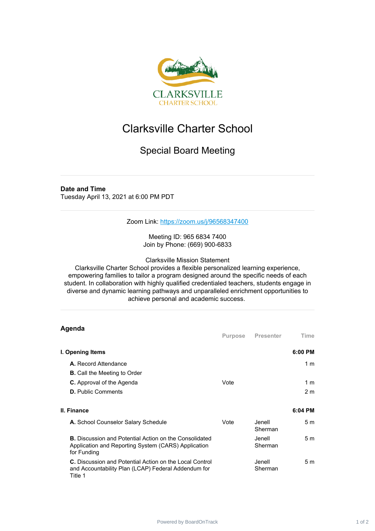

## Clarksville Charter School

## Special Board Meeting

## **Date and Time**

Tuesday April 13, 2021 at 6:00 PM PDT

Zoom Link: <https://zoom.us/j/96568347400>

Meeting ID: 965 6834 7400 Join by Phone: (669) 900-6833

Clarksville Mission Statement

Clarksville Charter School provides a flexible personalized learning experience, empowering families to tailor a program designed around the specific needs of each student. In collaboration with highly qualified credentialed teachers, students engage in diverse and dynamic learning pathways and unparalleled enrichment opportunities to achieve personal and academic success.

| Agenda                                                                                                                              |         |                    |                |
|-------------------------------------------------------------------------------------------------------------------------------------|---------|--------------------|----------------|
|                                                                                                                                     | Purpose | Presenter          | Time           |
| I. Opening Items                                                                                                                    |         |                    | $6:00$ PM      |
| A. Record Attendance                                                                                                                |         |                    | 1 <sub>m</sub> |
| <b>B.</b> Call the Meeting to Order                                                                                                 |         |                    |                |
| <b>C.</b> Approval of the Agenda                                                                                                    | Vote    |                    | 1 m            |
| <b>D.</b> Public Comments                                                                                                           |         |                    | 2 <sub>m</sub> |
|                                                                                                                                     |         |                    |                |
| II. Finance                                                                                                                         |         |                    | 6:04 PM        |
| A. School Counselor Salary Schedule                                                                                                 | Vote    | Jenell.<br>Sherman | 5 <sub>m</sub> |
| <b>B.</b> Discussion and Potential Action on the Consolidated<br>Application and Reporting System (CARS) Application<br>for Funding |         | Jenell.<br>Sherman | 5 <sub>m</sub> |
| <b>C.</b> Discussion and Potential Action on the Local Control<br>and Accountability Plan (LCAP) Federal Addendum for<br>Title 1    |         | Jenell<br>Sherman  | 5 <sub>m</sub> |